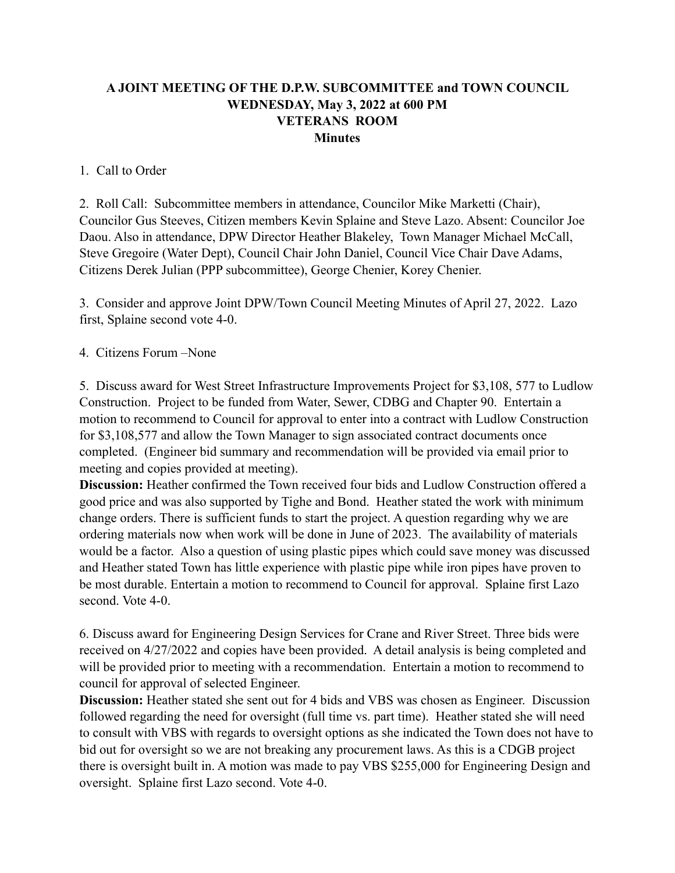## **A JOINT MEETING OF THE D.P.W. SUBCOMMITTEE and TOWN COUNCIL WEDNESDAY, May 3, 2022 at 600 PM VETERANS ROOM Minutes**

## 1. Call to Order

2. Roll Call: Subcommittee members in attendance, Councilor Mike Marketti (Chair), Councilor Gus Steeves, Citizen members Kevin Splaine and Steve Lazo. Absent: Councilor Joe Daou. Also in attendance, DPW Director Heather Blakeley, Town Manager Michael McCall, Steve Gregoire (Water Dept), Council Chair John Daniel, Council Vice Chair Dave Adams, Citizens Derek Julian (PPP subcommittee), George Chenier, Korey Chenier.

3. Consider and approve Joint DPW/Town Council Meeting Minutes of April 27, 2022. Lazo first, Splaine second vote 4-0.

## 4. Citizens Forum –None

5. Discuss award for West Street Infrastructure Improvements Project for \$3,108, 577 to Ludlow Construction. Project to be funded from Water, Sewer, CDBG and Chapter 90. Entertain a motion to recommend to Council for approval to enter into a contract with Ludlow Construction for \$3,108,577 and allow the Town Manager to sign associated contract documents once completed. (Engineer bid summary and recommendation will be provided via email prior to meeting and copies provided at meeting).

**Discussion:** Heather confirmed the Town received four bids and Ludlow Construction offered a good price and was also supported by Tighe and Bond. Heather stated the work with minimum change orders. There is sufficient funds to start the project. A question regarding why we are ordering materials now when work will be done in June of 2023. The availability of materials would be a factor. Also a question of using plastic pipes which could save money was discussed and Heather stated Town has little experience with plastic pipe while iron pipes have proven to be most durable. Entertain a motion to recommend to Council for approval. Splaine first Lazo second. Vote 4-0.

6. Discuss award for Engineering Design Services for Crane and River Street. Three bids were received on 4/27/2022 and copies have been provided. A detail analysis is being completed and will be provided prior to meeting with a recommendation. Entertain a motion to recommend to council for approval of selected Engineer.

**Discussion:** Heather stated she sent out for 4 bids and VBS was chosen as Engineer. Discussion followed regarding the need for oversight (full time vs. part time). Heather stated she will need to consult with VBS with regards to oversight options as she indicated the Town does not have to bid out for oversight so we are not breaking any procurement laws. As this is a CDGB project there is oversight built in. A motion was made to pay VBS \$255,000 for Engineering Design and oversight. Splaine first Lazo second. Vote 4-0.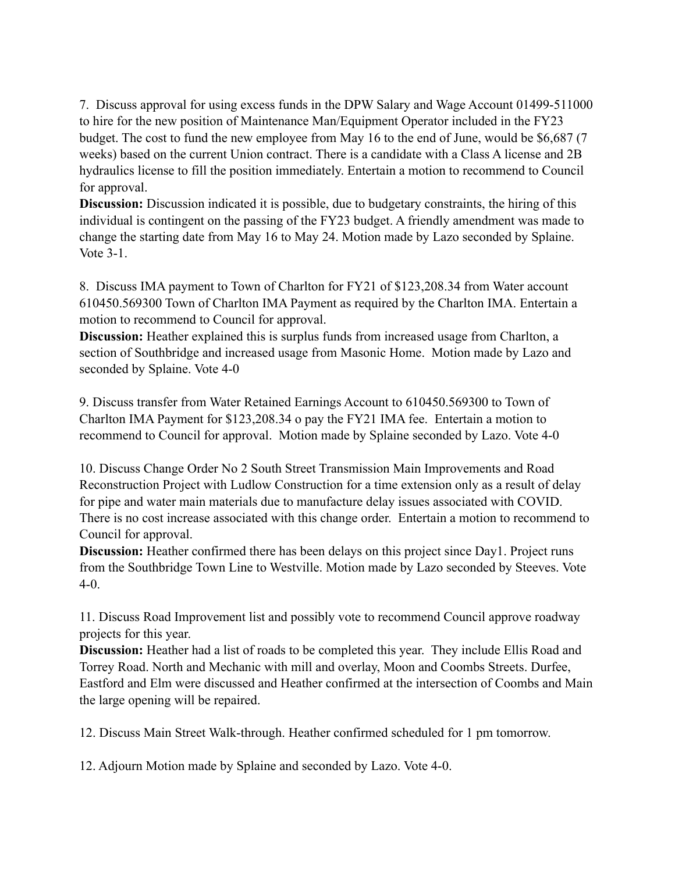7. Discuss approval for using excess funds in the DPW Salary and Wage Account 01499-511000 to hire for the new position of Maintenance Man/Equipment Operator included in the FY23 budget. The cost to fund the new employee from May 16 to the end of June, would be \$6,687 (7 weeks) based on the current Union contract. There is a candidate with a Class A license and 2B hydraulics license to fill the position immediately. Entertain a motion to recommend to Council for approval.

**Discussion:** Discussion indicated it is possible, due to budgetary constraints, the hiring of this individual is contingent on the passing of the FY23 budget. A friendly amendment was made to change the starting date from May 16 to May 24. Motion made by Lazo seconded by Splaine. Vote 3-1.

8. Discuss IMA payment to Town of Charlton for FY21 of \$123,208.34 from Water account 610450.569300 Town of Charlton IMA Payment as required by the Charlton IMA. Entertain a motion to recommend to Council for approval.

**Discussion:** Heather explained this is surplus funds from increased usage from Charlton, a section of Southbridge and increased usage from Masonic Home. Motion made by Lazo and seconded by Splaine. Vote 4-0

9. Discuss transfer from Water Retained Earnings Account to 610450.569300 to Town of Charlton IMA Payment for \$123,208.34 o pay the FY21 IMA fee. Entertain a motion to recommend to Council for approval. Motion made by Splaine seconded by Lazo. Vote 4-0

10. Discuss Change Order No 2 South Street Transmission Main Improvements and Road Reconstruction Project with Ludlow Construction for a time extension only as a result of delay for pipe and water main materials due to manufacture delay issues associated with COVID. There is no cost increase associated with this change order. Entertain a motion to recommend to Council for approval.

**Discussion:** Heather confirmed there has been delays on this project since Day1. Project runs from the Southbridge Town Line to Westville. Motion made by Lazo seconded by Steeves. Vote 4-0.

11. Discuss Road Improvement list and possibly vote to recommend Council approve roadway projects for this year.

**Discussion:** Heather had a list of roads to be completed this year. They include Ellis Road and Torrey Road. North and Mechanic with mill and overlay, Moon and Coombs Streets. Durfee, Eastford and Elm were discussed and Heather confirmed at the intersection of Coombs and Main the large opening will be repaired.

12. Discuss Main Street Walk-through. Heather confirmed scheduled for 1 pm tomorrow.

12. Adjourn Motion made by Splaine and seconded by Lazo. Vote 4-0.